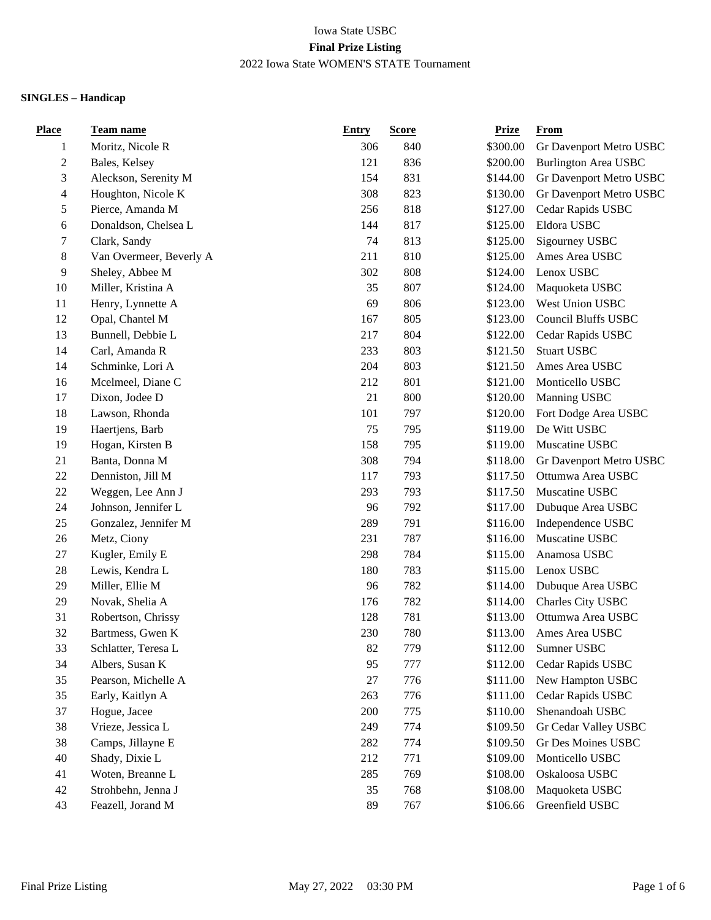| <b>Place</b>     | <b>Team name</b>        | <b>Entry</b> | <b>Score</b> | <b>Prize</b> | From                        |
|------------------|-------------------------|--------------|--------------|--------------|-----------------------------|
| $\mathbf{1}$     | Moritz, Nicole R        | 306          | 840          | \$300.00     | Gr Davenport Metro USBC     |
| $\boldsymbol{2}$ | Bales, Kelsey           | 121          | 836          | \$200.00     | <b>Burlington Area USBC</b> |
| 3                | Aleckson, Serenity M    | 154          | 831          | \$144.00     | Gr Davenport Metro USBC     |
| $\overline{4}$   | Houghton, Nicole K      | 308          | 823          | \$130.00     | Gr Davenport Metro USBC     |
| 5                | Pierce, Amanda M        | 256          | 818          | \$127.00     | Cedar Rapids USBC           |
| 6                | Donaldson, Chelsea L    | 144          | 817          | \$125.00     | Eldora USBC                 |
| 7                | Clark, Sandy            | 74           | 813          | \$125.00     | Sigourney USBC              |
| $8\,$            | Van Overmeer, Beverly A | 211          | 810          | \$125.00     | Ames Area USBC              |
| 9                | Sheley, Abbee M         | 302          | 808          | \$124.00     | Lenox USBC                  |
| 10               | Miller, Kristina A      | 35           | 807          | \$124.00     | Maquoketa USBC              |
| 11               | Henry, Lynnette A       | 69           | 806          | \$123.00     | West Union USBC             |
| 12               | Opal, Chantel M         | 167          | 805          | \$123.00     | <b>Council Bluffs USBC</b>  |
| 13               | Bunnell, Debbie L       | 217          | 804          | \$122.00     | Cedar Rapids USBC           |
| 14               | Carl, Amanda R          | 233          | 803          | \$121.50     | <b>Stuart USBC</b>          |
| 14               | Schminke, Lori A        | 204          | 803          | \$121.50     | Ames Area USBC              |
| 16               | Mcelmeel, Diane C       | 212          | 801          | \$121.00     | Monticello USBC             |
| 17               | Dixon, Jodee D          | 21           | 800          | \$120.00     | Manning USBC                |
| 18               | Lawson, Rhonda          | 101          | 797          | \$120.00     | Fort Dodge Area USBC        |
| 19               | Haertjens, Barb         | 75           | 795          | \$119.00     | De Witt USBC                |
| 19               | Hogan, Kirsten B        | 158          | 795          | \$119.00     | Muscatine USBC              |
| 21               | Banta, Donna M          | 308          | 794          | \$118.00     | Gr Davenport Metro USBC     |
| 22               | Denniston, Jill M       | 117          | 793          | \$117.50     | Ottumwa Area USBC           |
| $22\,$           | Weggen, Lee Ann J       | 293          | 793          | \$117.50     | Muscatine USBC              |
| 24               | Johnson, Jennifer L     | 96           | 792          | \$117.00     | Dubuque Area USBC           |
| 25               | Gonzalez, Jennifer M    | 289          | 791          | \$116.00     | Independence USBC           |
| 26               | Metz, Ciony             | 231          | 787          | \$116.00     | Muscatine USBC              |
| 27               | Kugler, Emily E         | 298          | 784          | \$115.00     | Anamosa USBC                |
| 28               | Lewis, Kendra L         | 180          | 783          | \$115.00     | Lenox USBC                  |
| 29               | Miller, Ellie M         | 96           | 782          | \$114.00     | Dubuque Area USBC           |
| 29               | Novak, Shelia A         | 176          | 782          | \$114.00     | Charles City USBC           |
| 31               | Robertson, Chrissy      | 128          | 781          | \$113.00     | Ottumwa Area USBC           |
| 32               | Bartmess, Gwen K        | 230          | 780          | \$113.00     | Ames Area USBC              |
| 33               | Schlatter, Teresa L     | 82           | 779          | \$112.00     | Sumner USBC                 |
| 34               | Albers, Susan K         | 95           | 777          | \$112.00     | Cedar Rapids USBC           |
| 35               | Pearson, Michelle A     | 27           | 776          | \$111.00     | New Hampton USBC            |
| 35               | Early, Kaitlyn A        | 263          | 776          | \$111.00     | Cedar Rapids USBC           |
| 37               | Hogue, Jacee            | 200          | 775          | \$110.00     | Shenandoah USBC             |
| 38               | Vrieze, Jessica L       | 249          | 774          | \$109.50     | Gr Cedar Valley USBC        |
| 38               | Camps, Jillayne E       | 282          | 774          | \$109.50     | Gr Des Moines USBC          |
| 40               | Shady, Dixie L          | 212          | 771          | \$109.00     | Monticello USBC             |
| 41               | Woten, Breanne L        | 285          | 769          | \$108.00     | Oskaloosa USBC              |
| 42               | Strohbehn, Jenna J      | 35           | 768          | \$108.00     | Maquoketa USBC              |
| 43               | Feazell, Jorand M       | 89           | 767          | \$106.66     | Greenfield USBC             |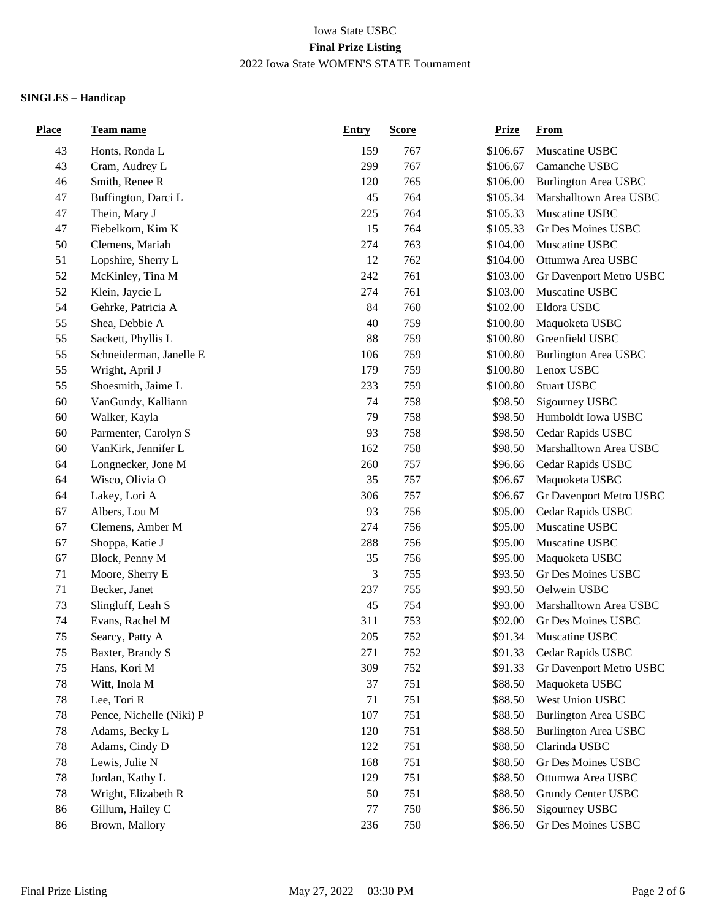| <b>Place</b> | <u>Team name</u>         | <b>Entry</b> | <b>Score</b> | <b>Prize</b> | <b>From</b>                 |
|--------------|--------------------------|--------------|--------------|--------------|-----------------------------|
| 43           | Honts, Ronda L           | 159          | 767          | \$106.67     | Muscatine USBC              |
| 43           | Cram, Audrey L           | 299          | 767          | \$106.67     | Camanche USBC               |
| 46           | Smith, Renee R           | 120          | 765          | \$106.00     | <b>Burlington Area USBC</b> |
| 47           | Buffington, Darci L      | 45           | 764          | \$105.34     | Marshalltown Area USBC      |
| 47           | Thein, Mary J            | 225          | 764          | \$105.33     | Muscatine USBC              |
| 47           | Fiebelkorn, Kim K        | 15           | 764          | \$105.33     | Gr Des Moines USBC          |
| 50           | Clemens, Mariah          | 274          | 763          | \$104.00     | Muscatine USBC              |
| 51           | Lopshire, Sherry L       | 12           | 762          | \$104.00     | Ottumwa Area USBC           |
| 52           | McKinley, Tina M         | 242          | 761          | \$103.00     | Gr Davenport Metro USBC     |
| 52           | Klein, Jaycie L          | 274          | 761          | \$103.00     | Muscatine USBC              |
| 54           | Gehrke, Patricia A       | 84           | 760          | \$102.00     | Eldora USBC                 |
| 55           | Shea, Debbie A           | 40           | 759          | \$100.80     | Maquoketa USBC              |
| 55           | Sackett, Phyllis L       | 88           | 759          | \$100.80     | Greenfield USBC             |
| 55           | Schneiderman, Janelle E  | 106          | 759          | \$100.80     | <b>Burlington Area USBC</b> |
| 55           | Wright, April J          | 179          | 759          | \$100.80     | Lenox USBC                  |
| 55           | Shoesmith, Jaime L       | 233          | 759          | \$100.80     | <b>Stuart USBC</b>          |
| 60           | VanGundy, Kalliann       | 74           | 758          | \$98.50      | Sigourney USBC              |
| 60           | Walker, Kayla            | 79           | 758          | \$98.50      | Humboldt Iowa USBC          |
| 60           | Parmenter, Carolyn S     | 93           | 758          | \$98.50      | Cedar Rapids USBC           |
| 60           | VanKirk, Jennifer L      | 162          | 758          | \$98.50      | Marshalltown Area USBC      |
| 64           | Longnecker, Jone M       | 260          | 757          | \$96.66      | Cedar Rapids USBC           |
| 64           | Wisco, Olivia O          | 35           | 757          | \$96.67      | Maquoketa USBC              |
| 64           | Lakey, Lori A            | 306          | 757          | \$96.67      | Gr Davenport Metro USBC     |
| 67           | Albers, Lou M            | 93           | 756          | \$95.00      | Cedar Rapids USBC           |
| 67           | Clemens, Amber M         | 274          | 756          | \$95.00      | Muscatine USBC              |
| 67           | Shoppa, Katie J          | 288          | 756          | \$95.00      | Muscatine USBC              |
| 67           | Block, Penny M           | 35           | 756          | \$95.00      | Maquoketa USBC              |
| 71           | Moore, Sherry E          | 3            | 755          | \$93.50      | Gr Des Moines USBC          |
| 71           | Becker, Janet            | 237          | 755          | \$93.50      | Oelwein USBC                |
| 73           | Slingluff, Leah S        | 45           | 754          | \$93.00      | Marshalltown Area USBC      |
| 74           | Evans, Rachel M          | 311          | 753          | \$92.00      | Gr Des Moines USBC          |
| 75           | Searcy, Patty A          | 205          | 752          | \$91.34      | Muscatine USBC              |
| 75           | Baxter, Brandy S         | 271          | 752          | \$91.33      | Cedar Rapids USBC           |
| 75           | Hans, Kori M             | 309          | 752          | \$91.33      | Gr Davenport Metro USBC     |
| 78           | Witt, Inola M            | 37           | 751          | \$88.50      | Maquoketa USBC              |
| 78           | Lee, Tori R              | 71           | 751          | \$88.50      | West Union USBC             |
| 78           | Pence, Nichelle (Niki) P | 107          | 751          | \$88.50      | <b>Burlington Area USBC</b> |
| 78           | Adams, Becky L           | 120          | 751          | \$88.50      | <b>Burlington Area USBC</b> |
| 78           | Adams, Cindy D           | 122          | 751          | \$88.50      | Clarinda USBC               |
| 78           | Lewis, Julie N           | 168          | 751          | \$88.50      | Gr Des Moines USBC          |
| 78           | Jordan, Kathy L          | 129          | 751          | \$88.50      | Ottumwa Area USBC           |
| 78           | Wright, Elizabeth R      | 50           | 751          | \$88.50      | <b>Grundy Center USBC</b>   |
| 86           | Gillum, Hailey C         | $77 \,$      | 750          | \$86.50      | Sigourney USBC              |
| 86           | Brown, Mallory           | 236          | 750          | \$86.50      | Gr Des Moines USBC          |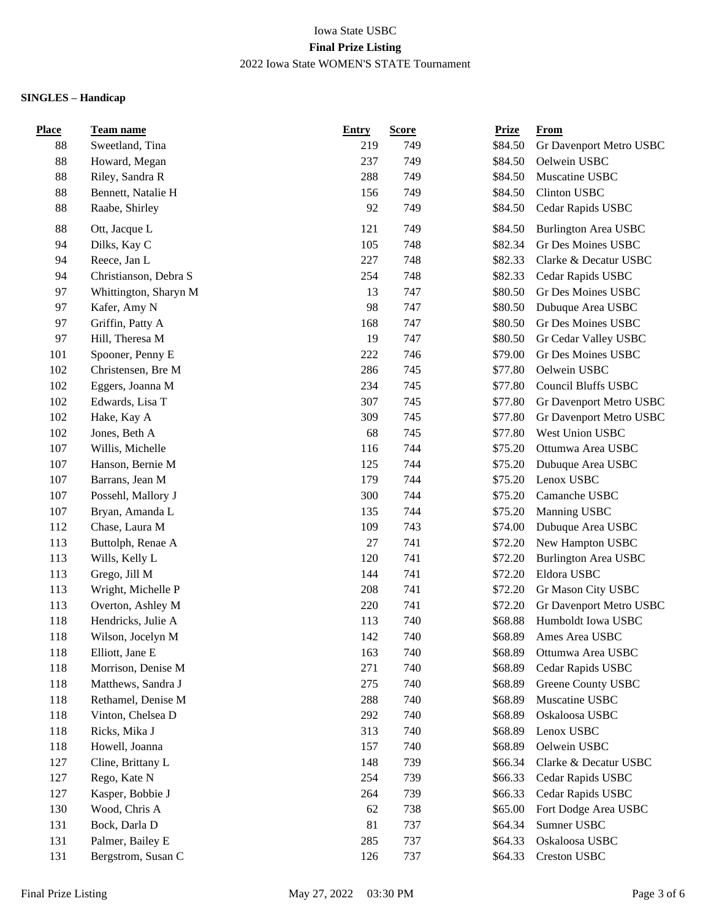| <b>Place</b> | Team name             | <b>Entry</b> | <b>Score</b> | <b>Prize</b> | <b>From</b>                 |
|--------------|-----------------------|--------------|--------------|--------------|-----------------------------|
| 88           | Sweetland, Tina       | 219          | 749          | \$84.50      | Gr Davenport Metro USBC     |
| 88           | Howard, Megan         | 237          | 749          | \$84.50      | Oelwein USBC                |
| 88           | Riley, Sandra R       | 288          | 749          | \$84.50      | Muscatine USBC              |
| 88           | Bennett, Natalie H    | 156          | 749          | \$84.50      | Clinton USBC                |
| 88           | Raabe, Shirley        | 92           | 749          | \$84.50      | Cedar Rapids USBC           |
| 88           | Ott, Jacque L         | 121          | 749          | \$84.50      | <b>Burlington Area USBC</b> |
| 94           | Dilks, Kay C          | 105          | 748          | \$82.34      | Gr Des Moines USBC          |
| 94           | Reece, Jan L          | 227          | 748          | \$82.33      | Clarke & Decatur USBC       |
| 94           | Christianson, Debra S | 254          | 748          | \$82.33      | Cedar Rapids USBC           |
| 97           | Whittington, Sharyn M | 13           | 747          | \$80.50      | Gr Des Moines USBC          |
| 97           | Kafer, Amy N          | 98           | 747          | \$80.50      | Dubuque Area USBC           |
| 97           | Griffin, Patty A      | 168          | 747          | \$80.50      | Gr Des Moines USBC          |
| 97           | Hill, Theresa M       | 19           | 747          | \$80.50      | Gr Cedar Valley USBC        |
| 101          | Spooner, Penny E      | 222          | 746          | \$79.00      | Gr Des Moines USBC          |
| 102          | Christensen, Bre M    | 286          | 745          | \$77.80      | Oelwein USBC                |
| 102          | Eggers, Joanna M      | 234          | 745          | \$77.80      | <b>Council Bluffs USBC</b>  |
| 102          | Edwards, Lisa T       | 307          | 745          | \$77.80      | Gr Davenport Metro USBC     |
| 102          | Hake, Kay A           | 309          | 745          | \$77.80      | Gr Davenport Metro USBC     |
| 102          | Jones, Beth A         | 68           | 745          | \$77.80      | West Union USBC             |
| 107          | Willis, Michelle      | 116          | 744          | \$75.20      | Ottumwa Area USBC           |
| 107          | Hanson, Bernie M      | 125          | 744          | \$75.20      | Dubuque Area USBC           |
| 107          | Barrans, Jean M       | 179          | 744          | \$75.20      | Lenox USBC                  |
| 107          | Possehl, Mallory J    | 300          | 744          | \$75.20      | Camanche USBC               |
| 107          | Bryan, Amanda L       | 135          | 744          | \$75.20      | Manning USBC                |
| 112          | Chase, Laura M        | 109          | 743          | \$74.00      | Dubuque Area USBC           |
| 113          | Buttolph, Renae A     | $27\,$       | 741          | \$72.20      | New Hampton USBC            |
| 113          | Wills, Kelly L        | 120          | 741          | \$72.20      | <b>Burlington Area USBC</b> |
| 113          | Grego, Jill M         | 144          | 741          | \$72.20      | Eldora USBC                 |
| 113          | Wright, Michelle P    | 208          | 741          | \$72.20      | Gr Mason City USBC          |
| 113          | Overton, Ashley M     | 220          | 741          | \$72.20      | Gr Davenport Metro USBC     |
| 118          | Hendricks, Julie A    | 113          | 740          | \$68.88      | Humboldt Iowa USBC          |
| 118          | Wilson, Jocelyn M     | 142          | 740          | \$68.89      | Ames Area USBC              |
| 118          | Elliott, Jane E       | 163          | 740          | \$68.89      | Ottumwa Area USBC           |
| 118          | Morrison, Denise M    | 271          | 740          | \$68.89      | Cedar Rapids USBC           |
| 118          | Matthews, Sandra J    | 275          | 740          | \$68.89      | Greene County USBC          |
| 118          | Rethamel, Denise M    | 288          | 740          | \$68.89      | Muscatine USBC              |
| 118          | Vinton, Chelsea D     | 292          | 740          | \$68.89      | Oskaloosa USBC              |
| 118          | Ricks, Mika J         | 313          | 740          | \$68.89      | Lenox USBC                  |
| 118          | Howell, Joanna        | 157          | 740          | \$68.89      | Oelwein USBC                |
| 127          | Cline, Brittany L     | 148          | 739          | \$66.34      | Clarke & Decatur USBC       |
| 127          | Rego, Kate N          | 254          | 739          | \$66.33      | Cedar Rapids USBC           |
| 127          | Kasper, Bobbie J      | 264          | 739          | \$66.33      | Cedar Rapids USBC           |
| 130          | Wood, Chris A         | 62           | 738          | \$65.00      | Fort Dodge Area USBC        |
| 131          | Bock, Darla D         | 81           | 737          | \$64.34      | Sumner USBC                 |
| 131          | Palmer, Bailey E      | 285          | 737          | \$64.33      | Oskaloosa USBC              |
| 131          | Bergstrom, Susan C    | 126          | 737          | \$64.33      | Creston USBC                |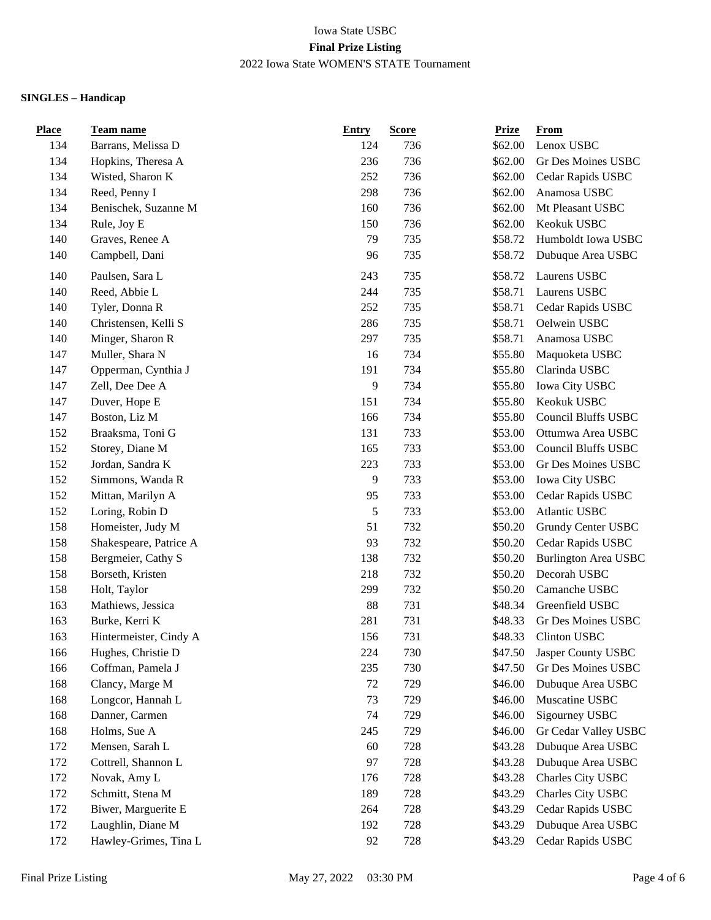| <b>Place</b> | <b>Team name</b>       | <b>Entry</b> | <b>Score</b> | <b>Prize</b> | From                        |
|--------------|------------------------|--------------|--------------|--------------|-----------------------------|
| 134          | Barrans, Melissa D     | 124          | 736          | \$62.00      | Lenox USBC                  |
| 134          | Hopkins, Theresa A     | 236          | 736          | \$62.00      | Gr Des Moines USBC          |
| 134          | Wisted, Sharon K       | 252          | 736          | \$62.00      | Cedar Rapids USBC           |
| 134          | Reed, Penny I          | 298          | 736          | \$62.00      | Anamosa USBC                |
| 134          | Benischek, Suzanne M   | 160          | 736          | \$62.00      | Mt Pleasant USBC            |
| 134          | Rule, Joy E            | 150          | 736          | \$62.00      | Keokuk USBC                 |
| 140          | Graves, Renee A        | 79           | 735          | \$58.72      | Humboldt Iowa USBC          |
| 140          | Campbell, Dani         | 96           | 735          | \$58.72      | Dubuque Area USBC           |
| 140          | Paulsen, Sara L        | 243          | 735          | \$58.72      | Laurens USBC                |
| 140          | Reed, Abbie L          | 244          | 735          | \$58.71      | Laurens USBC                |
| 140          | Tyler, Donna R         | 252          | 735          | \$58.71      | Cedar Rapids USBC           |
| 140          | Christensen, Kelli S   | 286          | 735          | \$58.71      | Oelwein USBC                |
| 140          | Minger, Sharon R       | 297          | 735          | \$58.71      | Anamosa USBC                |
| 147          | Muller, Shara N        | 16           | 734          | \$55.80      | Maquoketa USBC              |
| 147          | Opperman, Cynthia J    | 191          | 734          | \$55.80      | Clarinda USBC               |
| 147          | Zell, Dee Dee A        | 9            | 734          | \$55.80      | Iowa City USBC              |
| 147          | Duver, Hope E          | 151          | 734          | \$55.80      | Keokuk USBC                 |
| 147          | Boston, Liz M          | 166          | 734          | \$55.80      | <b>Council Bluffs USBC</b>  |
| 152          | Braaksma, Toni G       | 131          | 733          | \$53.00      | Ottumwa Area USBC           |
| 152          | Storey, Diane M        | 165          | 733          | \$53.00      | <b>Council Bluffs USBC</b>  |
| 152          | Jordan, Sandra K       | 223          | 733          | \$53.00      | Gr Des Moines USBC          |
| 152          | Simmons, Wanda R       | 9            | 733          | \$53.00      | Iowa City USBC              |
| 152          | Mittan, Marilyn A      | 95           | 733          | \$53.00      | Cedar Rapids USBC           |
| 152          | Loring, Robin D        | $\sqrt{5}$   | 733          | \$53.00      | Atlantic USBC               |
| 158          | Homeister, Judy M      | 51           | 732          | \$50.20      | Grundy Center USBC          |
| 158          | Shakespeare, Patrice A | 93           | 732          | \$50.20      | Cedar Rapids USBC           |
| 158          | Bergmeier, Cathy S     | 138          | 732          | \$50.20      | <b>Burlington Area USBC</b> |
| 158          | Borseth, Kristen       | 218          | 732          | \$50.20      | Decorah USBC                |
| 158          | Holt, Taylor           | 299          | 732          | \$50.20      | Camanche USBC               |
| 163          | Mathiews, Jessica      | 88           | 731          | \$48.34      | Greenfield USBC             |
| 163          | Burke, Kerri K         | 281          | 731          | \$48.33      | Gr Des Moines USBC          |
| 163          | Hintermeister, Cindy A | 156          | 731          | \$48.33      | Clinton USBC                |
| 166          | Hughes, Christie D     | 224          | 730          | \$47.50      | Jasper County USBC          |
| 166          | Coffman, Pamela J      | 235          | 730          | \$47.50      | Gr Des Moines USBC          |
| 168          | Clancy, Marge M        | 72           | 729          | \$46.00      | Dubuque Area USBC           |
| 168          | Longcor, Hannah L      | 73           | 729          | \$46.00      | Muscatine USBC              |
| 168          | Danner, Carmen         | 74           | 729          | \$46.00      | Sigourney USBC              |
| 168          | Holms, Sue A           | 245          | 729          | \$46.00      | Gr Cedar Valley USBC        |
| 172          | Mensen, Sarah L        | 60           | 728          | \$43.28      | Dubuque Area USBC           |
| 172          | Cottrell, Shannon L    | 97           | 728          | \$43.28      | Dubuque Area USBC           |
| 172          | Novak, Amy L           | 176          | 728          | \$43.28      | Charles City USBC           |
| 172          | Schmitt, Stena M       | 189          | 728          | \$43.29      | Charles City USBC           |
| 172          | Biwer, Marguerite E    | 264          | 728          | \$43.29      | Cedar Rapids USBC           |
| 172          | Laughlin, Diane M      | 192          | 728          | \$43.29      | Dubuque Area USBC           |
| 172          | Hawley-Grimes, Tina L  | 92           | 728          | \$43.29      | Cedar Rapids USBC           |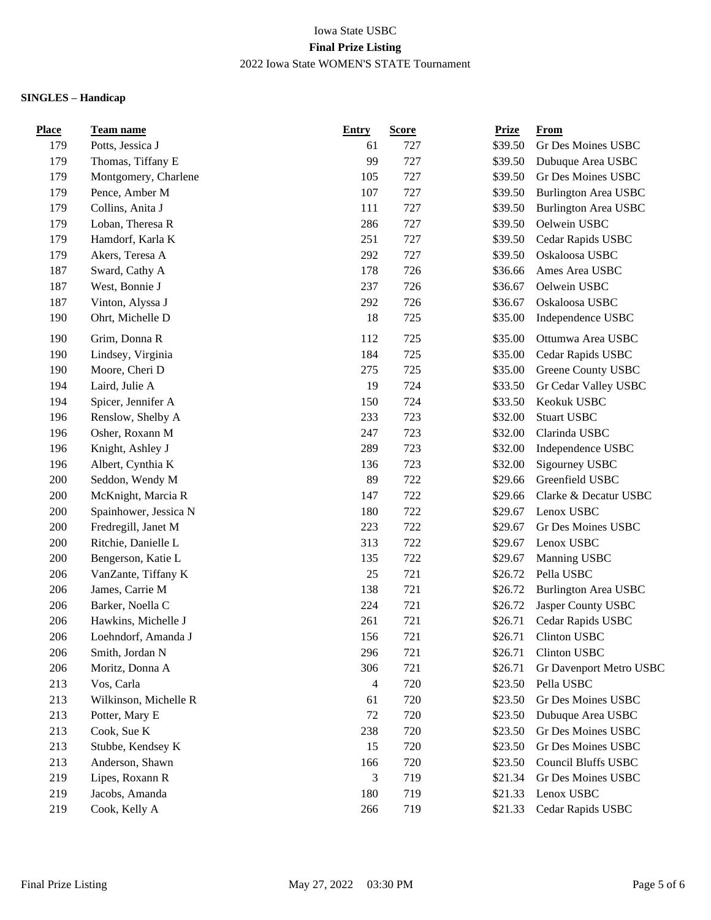| Place | Team name             | <b>Entry</b> | <b>Score</b> | <b>Prize</b> | From                        |
|-------|-----------------------|--------------|--------------|--------------|-----------------------------|
| 179   | Potts, Jessica J      | 61           | 727          | \$39.50      | Gr Des Moines USBC          |
| 179   | Thomas, Tiffany E     | 99           | 727          | \$39.50      | Dubuque Area USBC           |
| 179   | Montgomery, Charlene  | 105          | 727          | \$39.50      | Gr Des Moines USBC          |
| 179   | Pence, Amber M        | 107          | 727          | \$39.50      | <b>Burlington Area USBC</b> |
| 179   | Collins, Anita J      | 111          | 727          | \$39.50      | <b>Burlington Area USBC</b> |
| 179   | Loban, Theresa R      | 286          | 727          | \$39.50      | Oelwein USBC                |
| 179   | Hamdorf, Karla K      | 251          | 727          | \$39.50      | Cedar Rapids USBC           |
| 179   | Akers, Teresa A       | 292          | 727          | \$39.50      | Oskaloosa USBC              |
| 187   | Sward, Cathy A        | 178          | 726          | \$36.66      | Ames Area USBC              |
| 187   | West, Bonnie J        | 237          | 726          | \$36.67      | Oelwein USBC                |
| 187   | Vinton, Alyssa J      | 292          | 726          | \$36.67      | Oskaloosa USBC              |
| 190   | Ohrt, Michelle D      | 18           | 725          | \$35.00      | Independence USBC           |
| 190   | Grim, Donna R         | 112          | 725          | \$35.00      | Ottumwa Area USBC           |
| 190   | Lindsey, Virginia     | 184          | 725          | \$35.00      | Cedar Rapids USBC           |
| 190   | Moore, Cheri D        | 275          | 725          | \$35.00      | Greene County USBC          |
| 194   | Laird, Julie A        | 19           | 724          | \$33.50      | Gr Cedar Valley USBC        |
| 194   | Spicer, Jennifer A    | 150          | 724          | \$33.50      | Keokuk USBC                 |
| 196   | Renslow, Shelby A     | 233          | 723          | \$32.00      | <b>Stuart USBC</b>          |
| 196   | Osher, Roxann M       | 247          | 723          | \$32.00      | Clarinda USBC               |
| 196   | Knight, Ashley J      | 289          | 723          | \$32.00      | Independence USBC           |
| 196   | Albert, Cynthia K     | 136          | 723          | \$32.00      | Sigourney USBC              |
| 200   | Seddon, Wendy M       | 89           | 722          | \$29.66      | Greenfield USBC             |
| 200   | McKnight, Marcia R    | 147          | 722          | \$29.66      | Clarke & Decatur USBC       |
| 200   | Spainhower, Jessica N | 180          | 722          | \$29.67      | Lenox USBC                  |
| 200   | Fredregill, Janet M   | 223          | 722          | \$29.67      | Gr Des Moines USBC          |
| 200   | Ritchie, Danielle L   | 313          | 722          | \$29.67      | Lenox USBC                  |
| 200   | Bengerson, Katie L    | 135          | 722          | \$29.67      | Manning USBC                |
| 206   | VanZante, Tiffany K   | 25           | 721          | \$26.72      | Pella USBC                  |
| 206   | James, Carrie M       | 138          | 721          | \$26.72      | <b>Burlington Area USBC</b> |
| 206   | Barker, Noella C      | 224          | 721          | \$26.72      | Jasper County USBC          |
| 206   | Hawkins, Michelle J   | 261          | 721          | \$26.71      | Cedar Rapids USBC           |
| 206   | Loehndorf, Amanda J   | 156          | 721          | \$26.71      | Clinton USBC                |
| 206   | Smith, Jordan N       | 296          | 721          | \$26.71      | Clinton USBC                |
| 206   | Moritz, Donna A       | 306          | 721          | \$26.71      | Gr Davenport Metro USBC     |
| 213   | Vos, Carla            | 4            | 720          | \$23.50      | Pella USBC                  |
| 213   | Wilkinson, Michelle R | 61           | 720          | \$23.50      | Gr Des Moines USBC          |
| 213   | Potter, Mary E        | 72           | 720          | \$23.50      | Dubuque Area USBC           |
| 213   | Cook, Sue K           | 238          | 720          | \$23.50      | Gr Des Moines USBC          |
| 213   | Stubbe, Kendsey K     | 15           | 720          | \$23.50      | Gr Des Moines USBC          |
| 213   | Anderson, Shawn       | 166          | 720          | \$23.50      | <b>Council Bluffs USBC</b>  |
| 219   | Lipes, Roxann R       | 3            | 719          | \$21.34      | Gr Des Moines USBC          |
| 219   | Jacobs, Amanda        | 180          | 719          | \$21.33      | Lenox USBC                  |
| 219   | Cook, Kelly A         | 266          | 719          | \$21.33      | Cedar Rapids USBC           |